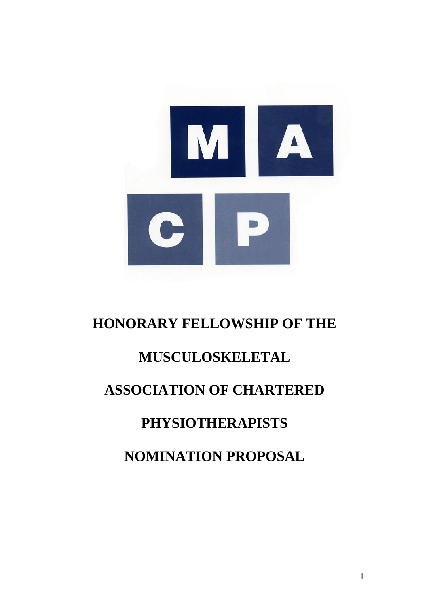

# **HONORARY FELLOWSHIP OF THE**

## **MUSCULOSKELETAL**

## **ASSOCIATION OF CHARTERED**

## **PHYSIOTHERAPISTS**

## **NOMINATION PROPOSAL**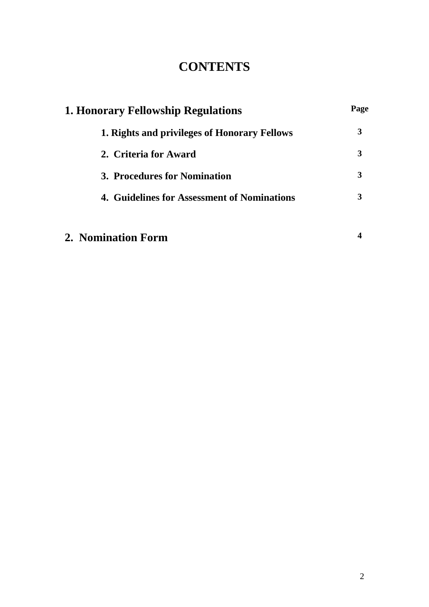### **CONTENTS**

| <b>1. Honorary Fellowship Regulations</b>    |   |
|----------------------------------------------|---|
| 1. Rights and privileges of Honorary Fellows | 3 |
| 2. Criteria for Award                        | 3 |
| 3. Procedures for Nomination                 | 3 |
| 4. Guidelines for Assessment of Nominations  | 3 |
| 2. Nomination Form                           |   |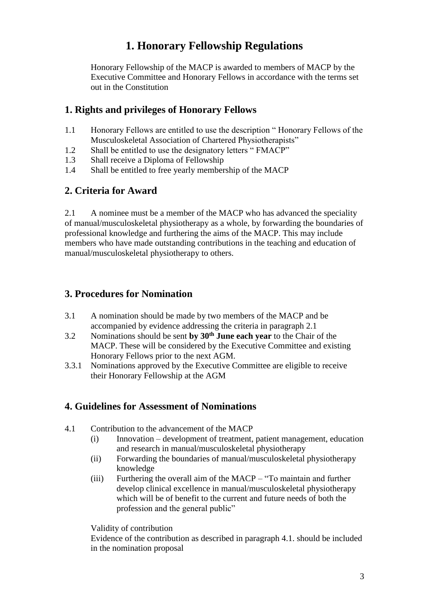### **1. Honorary Fellowship Regulations**

Honorary Fellowship of the MACP is awarded to members of MACP by the Executive Committee and Honorary Fellows in accordance with the terms set out in the Constitution

### **1. Rights and privileges of Honorary Fellows**

- 1.1 Honorary Fellows are entitled to use the description " Honorary Fellows of the Musculoskeletal Association of Chartered Physiotherapists"
- 1.2 Shall be entitled to use the designatory letters " FMACP"
- 1.3 Shall receive a Diploma of Fellowship
- 1.4 Shall be entitled to free yearly membership of the MACP

### **2. Criteria for Award**

2.1 A nominee must be a member of the MACP who has advanced the speciality of manual/musculoskeletal physiotherapy as a whole, by forwarding the boundaries of professional knowledge and furthering the aims of the MACP. This may include members who have made outstanding contributions in the teaching and education of manual/musculoskeletal physiotherapy to others.

### **3. Procedures for Nomination**

- 3.1 A nomination should be made by two members of the MACP and be accompanied by evidence addressing the criteria in paragraph 2.1
- 3.2 Nominations should be sent **by 30th June each year** to the Chair of the MACP. These will be considered by the Executive Committee and existing Honorary Fellows prior to the next AGM.
- 3.3.1 Nominations approved by the Executive Committee are eligible to receive their Honorary Fellowship at the AGM

#### **4. Guidelines for Assessment of Nominations**

- 4.1 Contribution to the advancement of the MACP
	- (i) Innovation development of treatment, patient management, education and research in manual/musculoskeletal physiotherapy
	- (ii) Forwarding the boundaries of manual/musculoskeletal physiotherapy knowledge
	- (iii) Furthering the overall aim of the MACP "To maintain and further develop clinical excellence in manual/musculoskeletal physiotherapy which will be of benefit to the current and future needs of both the profession and the general public"

Validity of contribution

Evidence of the contribution as described in paragraph 4.1. should be included in the nomination proposal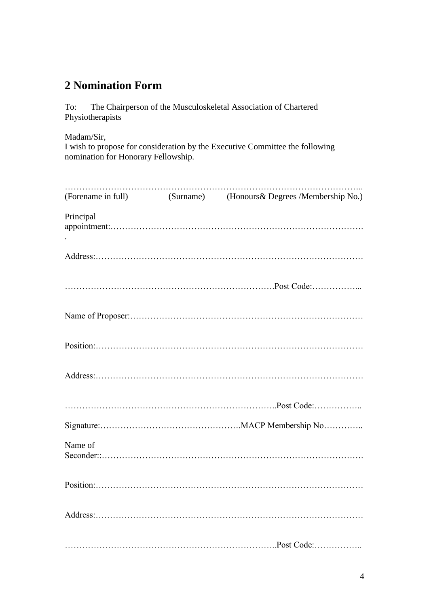### **2 Nomination Form**

To: The Chairperson of the Musculoskeletal Association of Chartered Physiotherapists

Madam/Sir,

I wish to propose for consideration by the Executive Committee the following nomination for Honorary Fellowship.

|           | (Forename in full) (Surname) (Honours & Degrees /Membership No.) |
|-----------|------------------------------------------------------------------|
| Principal |                                                                  |
|           |                                                                  |
|           |                                                                  |
|           |                                                                  |
|           |                                                                  |
|           |                                                                  |
|           |                                                                  |
|           |                                                                  |
| Name of   |                                                                  |
|           |                                                                  |
|           |                                                                  |
|           |                                                                  |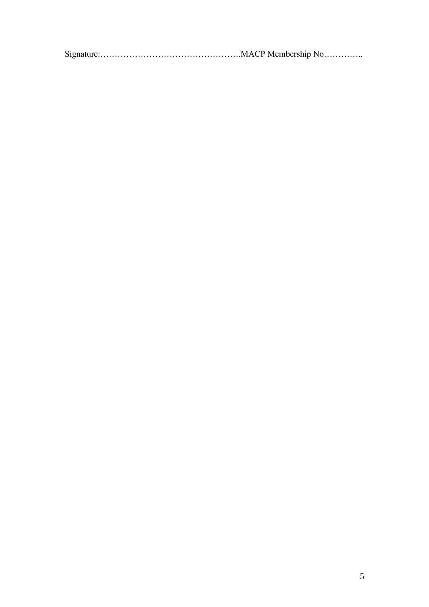Signature:………………………………………….MACP Membership No…………..